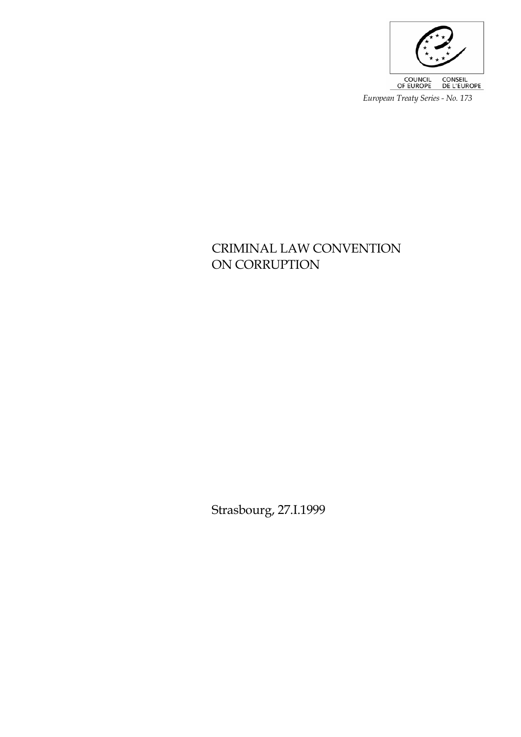

*European Treaty Series - No. 173* 

# CRIMINAL LAW CONVENTION ON CORRUPTION

Strasbourg, 27.I.1999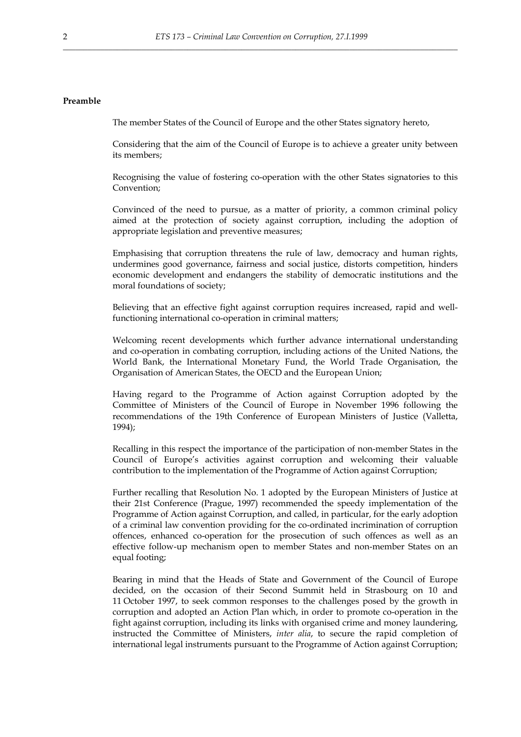# **Preamble**

The member States of the Council of Europe and the other States signatory hereto,

 Considering that the aim of the Council of Europe is to achieve a greater unity between its members;

 Recognising the value of fostering co-operation with the other States signatories to this Convention;

 Convinced of the need to pursue, as a matter of priority, a common criminal policy aimed at the protection of society against corruption, including the adoption of appropriate legislation and preventive measures;

 Emphasising that corruption threatens the rule of law, democracy and human rights, undermines good governance, fairness and social justice, distorts competition, hinders economic development and endangers the stability of democratic institutions and the moral foundations of society;

 Believing that an effective fight against corruption requires increased, rapid and wellfunctioning international co-operation in criminal matters;

 Welcoming recent developments which further advance international understanding and co-operation in combating corruption, including actions of the United Nations, the World Bank, the International Monetary Fund, the World Trade Organisation, the Organisation of American States, the OECD and the European Union;

 Having regard to the Programme of Action against Corruption adopted by the Committee of Ministers of the Council of Europe in November 1996 following the recommendations of the 19th Conference of European Ministers of Justice (Valletta, 1994);

 Recalling in this respect the importance of the participation of non-member States in the Council of Europe's activities against corruption and welcoming their valuable contribution to the implementation of the Programme of Action against Corruption;

 Further recalling that Resolution No. 1 adopted by the European Ministers of Justice at their 21st Conference (Prague, 1997) recommended the speedy implementation of the Programme of Action against Corruption, and called, in particular, for the early adoption of a criminal law convention providing for the co-ordinated incrimination of corruption offences, enhanced co-operation for the prosecution of such offences as well as an effective follow-up mechanism open to member States and non-member States on an equal footing;

 Bearing in mind that the Heads of State and Government of the Council of Europe decided, on the occasion of their Second Summit held in Strasbourg on 10 and 11 October 1997, to seek common responses to the challenges posed by the growth in corruption and adopted an Action Plan which, in order to promote co-operation in the fight against corruption, including its links with organised crime and money laundering, instructed the Committee of Ministers, *inter alia*, to secure the rapid completion of international legal instruments pursuant to the Programme of Action against Corruption;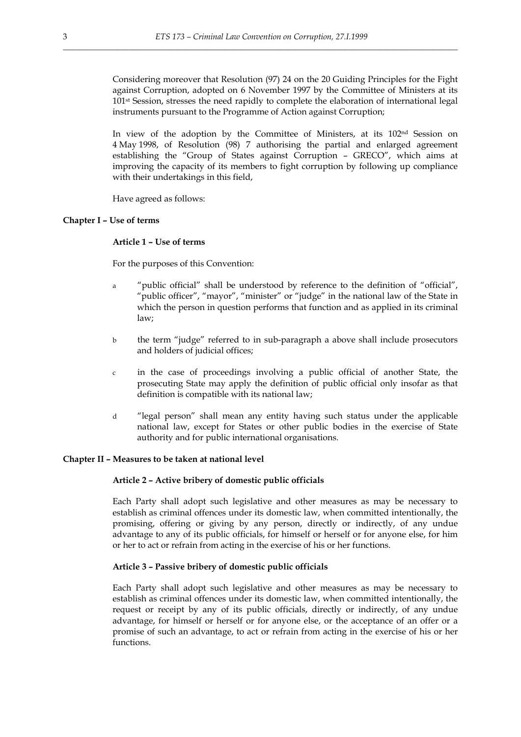Considering moreover that Resolution (97) 24 on the 20 Guiding Principles for the Fight against Corruption, adopted on 6 November 1997 by the Committee of Ministers at its 101<sup>st</sup> Session, stresses the need rapidly to complete the elaboration of international legal instruments pursuant to the Programme of Action against Corruption;

In view of the adoption by the Committee of Ministers, at its  $102<sup>nd</sup>$  Session on 4 May 1998, of Resolution (98) 7 authorising the partial and enlarged agreement establishing the "Group of States against Corruption – GRECO", which aims at improving the capacity of its members to fight corruption by following up compliance with their undertakings in this field,

Have agreed as follows:

## **Chapter I – Use of terms**

# **Article 1 – Use of terms**

For the purposes of this Convention:

- a "public official" shall be understood by reference to the definition of "official", "public officer", "mayor", "minister" or "judge" in the national law of the State in which the person in question performs that function and as applied in its criminal law;
- b the term "judge" referred to in sub-paragraph a above shall include prosecutors and holders of judicial offices;
- c in the case of proceedings involving a public official of another State, the prosecuting State may apply the definition of public official only insofar as that definition is compatible with its national law;
- d "legal person" shall mean any entity having such status under the applicable national law, except for States or other public bodies in the exercise of State authority and for public international organisations.

# **Chapter II – Measures to be taken at national level**

## **Article 2 – Active bribery of domestic public officials**

 Each Party shall adopt such legislative and other measures as may be necessary to establish as criminal offences under its domestic law, when committed intentionally, the promising, offering or giving by any person, directly or indirectly, of any undue advantage to any of its public officials, for himself or herself or for anyone else, for him or her to act or refrain from acting in the exercise of his or her functions.

# **Article 3 – Passive bribery of domestic public officials**

 Each Party shall adopt such legislative and other measures as may be necessary to establish as criminal offences under its domestic law, when committed intentionally, the request or receipt by any of its public officials, directly or indirectly, of any undue advantage, for himself or herself or for anyone else, or the acceptance of an offer or a promise of such an advantage, to act or refrain from acting in the exercise of his or her functions.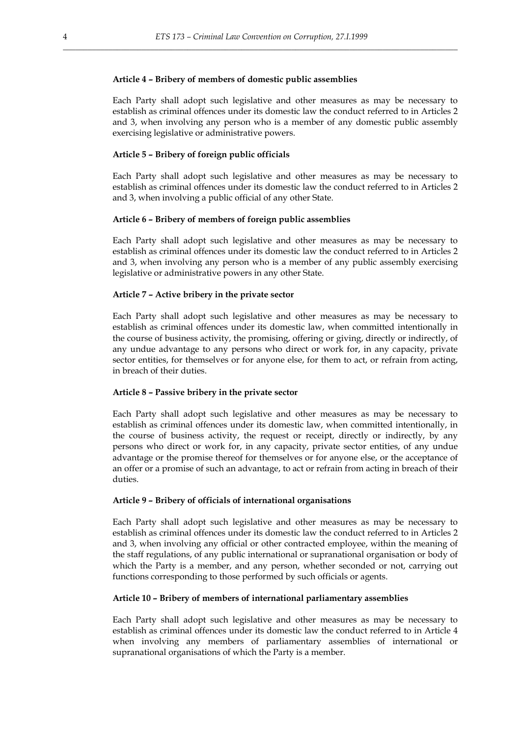## **Article 4 – Bribery of members of domestic public assemblies**

 Each Party shall adopt such legislative and other measures as may be necessary to establish as criminal offences under its domestic law the conduct referred to in Articles 2 and 3, when involving any person who is a member of any domestic public assembly exercising legislative or administrative powers.

## **Article 5 – Bribery of foreign public officials**

 Each Party shall adopt such legislative and other measures as may be necessary to establish as criminal offences under its domestic law the conduct referred to in Articles 2 and 3, when involving a public official of any other State.

## **Article 6 – Bribery of members of foreign public assemblies**

 Each Party shall adopt such legislative and other measures as may be necessary to establish as criminal offences under its domestic law the conduct referred to in Articles 2 and 3, when involving any person who is a member of any public assembly exercising legislative or administrative powers in any other State.

# **Article 7 – Active bribery in the private sector**

 Each Party shall adopt such legislative and other measures as may be necessary to establish as criminal offences under its domestic law, when committed intentionally in the course of business activity, the promising, offering or giving, directly or indirectly, of any undue advantage to any persons who direct or work for, in any capacity, private sector entities, for themselves or for anyone else, for them to act, or refrain from acting, in breach of their duties.

#### **Article 8 – Passive bribery in the private sector**

 Each Party shall adopt such legislative and other measures as may be necessary to establish as criminal offences under its domestic law, when committed intentionally, in the course of business activity, the request or receipt, directly or indirectly, by any persons who direct or work for, in any capacity, private sector entities, of any undue advantage or the promise thereof for themselves or for anyone else, or the acceptance of an offer or a promise of such an advantage, to act or refrain from acting in breach of their duties.

#### **Article 9 – Bribery of officials of international organisations**

 Each Party shall adopt such legislative and other measures as may be necessary to establish as criminal offences under its domestic law the conduct referred to in Articles 2 and 3, when involving any official or other contracted employee, within the meaning of the staff regulations, of any public international or supranational organisation or body of which the Party is a member, and any person, whether seconded or not, carrying out functions corresponding to those performed by such officials or agents.

## **Article 10 – Bribery of members of international parliamentary assemblies**

 Each Party shall adopt such legislative and other measures as may be necessary to establish as criminal offences under its domestic law the conduct referred to in Article 4 when involving any members of parliamentary assemblies of international or supranational organisations of which the Party is a member.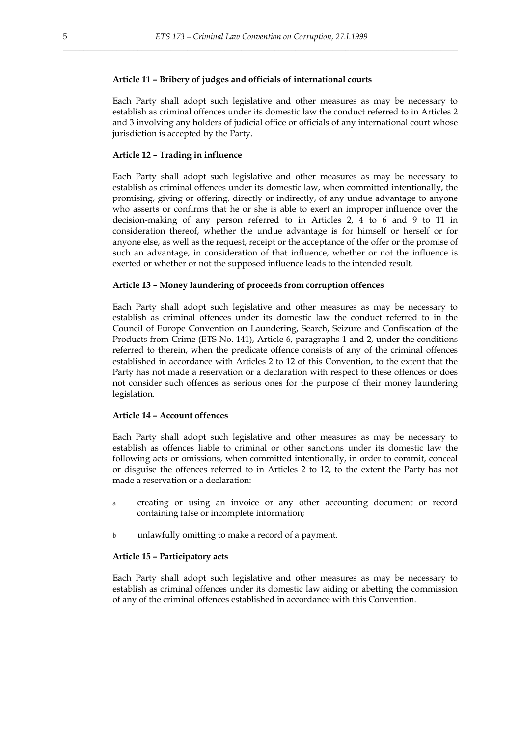## **Article 11 – Bribery of judges and officials of international courts**

 Each Party shall adopt such legislative and other measures as may be necessary to establish as criminal offences under its domestic law the conduct referred to in Articles 2 and 3 involving any holders of judicial office or officials of any international court whose jurisdiction is accepted by the Party.

# **Article 12 – Trading in influence**

 Each Party shall adopt such legislative and other measures as may be necessary to establish as criminal offences under its domestic law, when committed intentionally, the promising, giving or offering, directly or indirectly, of any undue advantage to anyone who asserts or confirms that he or she is able to exert an improper influence over the decision-making of any person referred to in Articles 2, 4 to 6 and 9 to 11 in consideration thereof, whether the undue advantage is for himself or herself or for anyone else, as well as the request, receipt or the acceptance of the offer or the promise of such an advantage, in consideration of that influence, whether or not the influence is exerted or whether or not the supposed influence leads to the intended result.

### **Article 13 – Money laundering of proceeds from corruption offences**

 Each Party shall adopt such legislative and other measures as may be necessary to establish as criminal offences under its domestic law the conduct referred to in the Council of Europe Convention on Laundering, Search, Seizure and Confiscation of the Products from Crime (ETS No. 141), Article 6, paragraphs 1 and 2, under the conditions referred to therein, when the predicate offence consists of any of the criminal offences established in accordance with Articles 2 to 12 of this Convention, to the extent that the Party has not made a reservation or a declaration with respect to these offences or does not consider such offences as serious ones for the purpose of their money laundering legislation.

# **Article 14 – Account offences**

 Each Party shall adopt such legislative and other measures as may be necessary to establish as offences liable to criminal or other sanctions under its domestic law the following acts or omissions, when committed intentionally, in order to commit, conceal or disguise the offences referred to in Articles 2 to 12, to the extent the Party has not made a reservation or a declaration:

- a creating or using an invoice or any other accounting document or record containing false or incomplete information;
- b unlawfully omitting to make a record of a payment.

# **Article 15 – Participatory acts**

 Each Party shall adopt such legislative and other measures as may be necessary to establish as criminal offences under its domestic law aiding or abetting the commission of any of the criminal offences established in accordance with this Convention.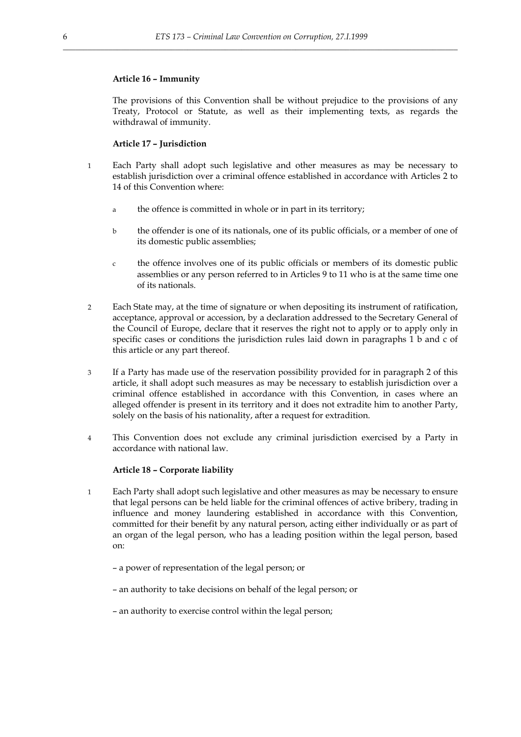# **Article 16 – Immunity**

 The provisions of this Convention shall be without prejudice to the provisions of any Treaty, Protocol or Statute, as well as their implementing texts, as regards the withdrawal of immunity.

# **Article 17 – Jurisdiction**

- 1 Each Party shall adopt such legislative and other measures as may be necessary to establish jurisdiction over a criminal offence established in accordance with Articles 2 to 14 of this Convention where:
	- a the offence is committed in whole or in part in its territory;
	- b the offender is one of its nationals, one of its public officials, or a member of one of its domestic public assemblies;
	- c the offence involves one of its public officials or members of its domestic public assemblies or any person referred to in Articles 9 to 11 who is at the same time one of its nationals.
- 2 Each State may, at the time of signature or when depositing its instrument of ratification, acceptance, approval or accession, by a declaration addressed to the Secretary General of the Council of Europe, declare that it reserves the right not to apply or to apply only in specific cases or conditions the jurisdiction rules laid down in paragraphs 1 b and c of this article or any part thereof.
- 3 If a Party has made use of the reservation possibility provided for in paragraph 2 of this article, it shall adopt such measures as may be necessary to establish jurisdiction over a criminal offence established in accordance with this Convention, in cases where an alleged offender is present in its territory and it does not extradite him to another Party, solely on the basis of his nationality, after a request for extradition.
- 4 This Convention does not exclude any criminal jurisdiction exercised by a Party in accordance with national law.

# **Article 18 – Corporate liability**

- 1 Each Party shall adopt such legislative and other measures as may be necessary to ensure that legal persons can be held liable for the criminal offences of active bribery, trading in influence and money laundering established in accordance with this Convention, committed for their benefit by any natural person, acting either individually or as part of an organ of the legal person, who has a leading position within the legal person, based on:
	- a power of representation of the legal person; or
	- an authority to take decisions on behalf of the legal person; or
	- an authority to exercise control within the legal person;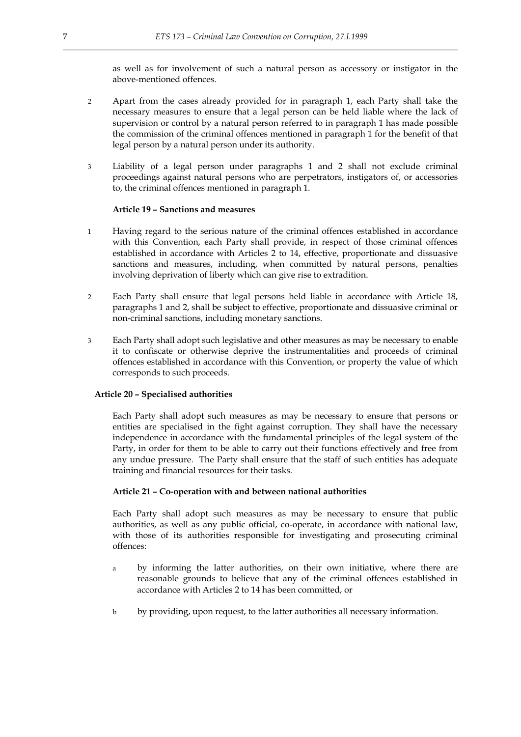as well as for involvement of such a natural person as accessory or instigator in the above-mentioned offences.

- 2 Apart from the cases already provided for in paragraph 1, each Party shall take the necessary measures to ensure that a legal person can be held liable where the lack of supervision or control by a natural person referred to in paragraph 1 has made possible the commission of the criminal offences mentioned in paragraph 1 for the benefit of that legal person by a natural person under its authority.
- 3 Liability of a legal person under paragraphs 1 and 2 shall not exclude criminal proceedings against natural persons who are perpetrators, instigators of, or accessories to, the criminal offences mentioned in paragraph 1.

# **Article 19 – Sanctions and measures**

- 1 Having regard to the serious nature of the criminal offences established in accordance with this Convention, each Party shall provide, in respect of those criminal offences established in accordance with Articles 2 to 14, effective, proportionate and dissuasive sanctions and measures, including, when committed by natural persons, penalties involving deprivation of liberty which can give rise to extradition.
- 2 Each Party shall ensure that legal persons held liable in accordance with Article 18, paragraphs 1 and 2, shall be subject to effective, proportionate and dissuasive criminal or non-criminal sanctions, including monetary sanctions.
- 3 Each Party shall adopt such legislative and other measures as may be necessary to enable it to confiscate or otherwise deprive the instrumentalities and proceeds of criminal offences established in accordance with this Convention, or property the value of which corresponds to such proceeds.

## **Article 20 – Specialised authorities**

 Each Party shall adopt such measures as may be necessary to ensure that persons or entities are specialised in the fight against corruption. They shall have the necessary independence in accordance with the fundamental principles of the legal system of the Party, in order for them to be able to carry out their functions effectively and free from any undue pressure. The Party shall ensure that the staff of such entities has adequate training and financial resources for their tasks.

# **Article 21 – Co-operation with and between national authorities**

 Each Party shall adopt such measures as may be necessary to ensure that public authorities, as well as any public official, co-operate, in accordance with national law, with those of its authorities responsible for investigating and prosecuting criminal offences:

- a by informing the latter authorities, on their own initiative, where there are reasonable grounds to believe that any of the criminal offences established in accordance with Articles 2 to 14 has been committed, or
- b by providing, upon request, to the latter authorities all necessary information.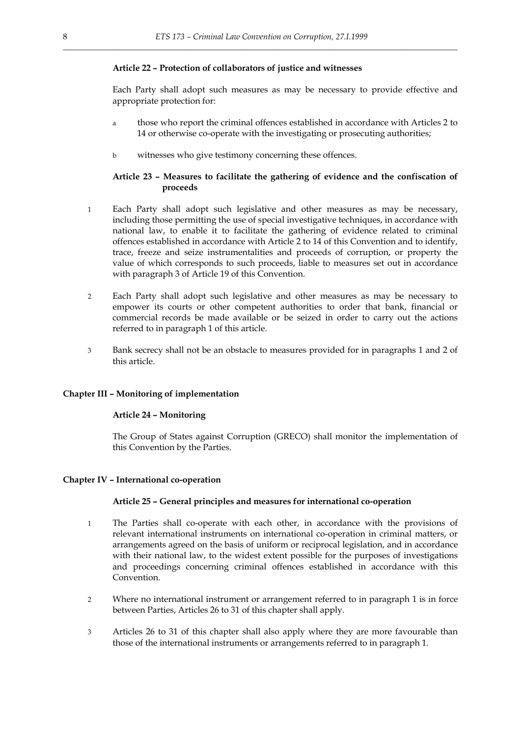# **Article 22 – Protection of collaborators of justice and witnesses**

 Each Party shall adopt such measures as may be necessary to provide effective and appropriate protection for:

- a those who report the criminal offences established in accordance with Articles 2 to 14 or otherwise co-operate with the investigating or prosecuting authorities;
- b witnesses who give testimony concerning these offences.

# **Article 23 – Measures to facilitate the gathering of evidence and the confiscation of proceeds**

- 1 Each Party shall adopt such legislative and other measures as may be necessary, including those permitting the use of special investigative techniques, in accordance with national law, to enable it to facilitate the gathering of evidence related to criminal offences established in accordance with Article 2 to 14 of this Convention and to identify, trace, freeze and seize instrumentalities and proceeds of corruption, or property the value of which corresponds to such proceeds, liable to measures set out in accordance with paragraph 3 of Article 19 of this Convention.
- 2 Each Party shall adopt such legislative and other measures as may be necessary to empower its courts or other competent authorities to order that bank, financial or commercial records be made available or be seized in order to carry out the actions referred to in paragraph 1 of this article.
- 3 Bank secrecy shall not be an obstacle to measures provided for in paragraphs 1 and 2 of this article.

## **Chapter III – Monitoring of implementation**

# **Article 24 – Monitoring**

 The Group of States against Corruption (GRECO) shall monitor the implementation of this Convention by the Parties.

## **Chapter IV – International co-operation**

## **Article 25 – General principles and measures for international co-operation**

- 1 The Parties shall co-operate with each other, in accordance with the provisions of relevant international instruments on international co-operation in criminal matters, or arrangements agreed on the basis of uniform or reciprocal legislation, and in accordance with their national law, to the widest extent possible for the purposes of investigations and proceedings concerning criminal offences established in accordance with this Convention.
- 2 Where no international instrument or arrangement referred to in paragraph 1 is in force between Parties, Articles 26 to 31 of this chapter shall apply.
- 3 Articles 26 to 31 of this chapter shall also apply where they are more favourable than those of the international instruments or arrangements referred to in paragraph 1.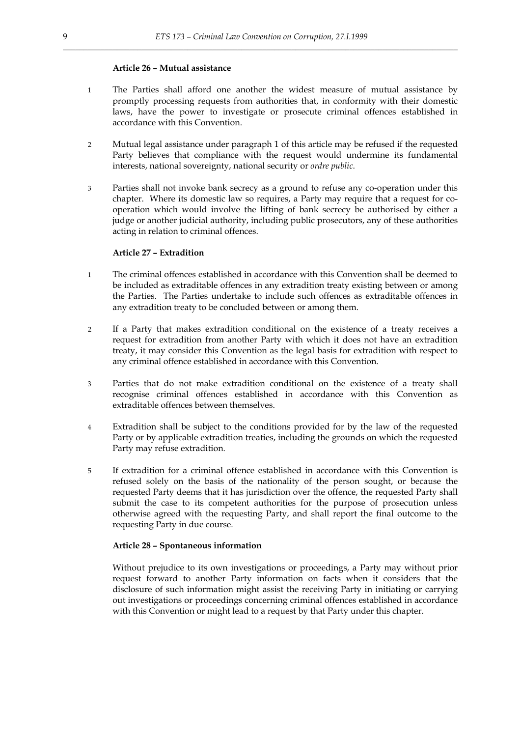## **Article 26 – Mutual assistance**

- 1 The Parties shall afford one another the widest measure of mutual assistance by promptly processing requests from authorities that, in conformity with their domestic laws, have the power to investigate or prosecute criminal offences established in accordance with this Convention.
- 2 Mutual legal assistance under paragraph 1 of this article may be refused if the requested Party believes that compliance with the request would undermine its fundamental interests, national sovereignty, national security or *ordre public*.
- 3 Parties shall not invoke bank secrecy as a ground to refuse any co-operation under this chapter. Where its domestic law so requires, a Party may require that a request for cooperation which would involve the lifting of bank secrecy be authorised by either a judge or another judicial authority, including public prosecutors, any of these authorities acting in relation to criminal offences.

# **Article 27 – Extradition**

- 1 The criminal offences established in accordance with this Convention shall be deemed to be included as extraditable offences in any extradition treaty existing between or among the Parties. The Parties undertake to include such offences as extraditable offences in any extradition treaty to be concluded between or among them.
- 2 If a Party that makes extradition conditional on the existence of a treaty receives a request for extradition from another Party with which it does not have an extradition treaty, it may consider this Convention as the legal basis for extradition with respect to any criminal offence established in accordance with this Convention.
- 3 Parties that do not make extradition conditional on the existence of a treaty shall recognise criminal offences established in accordance with this Convention as extraditable offences between themselves.
- 4 Extradition shall be subject to the conditions provided for by the law of the requested Party or by applicable extradition treaties, including the grounds on which the requested Party may refuse extradition.
- 5 If extradition for a criminal offence established in accordance with this Convention is refused solely on the basis of the nationality of the person sought, or because the requested Party deems that it has jurisdiction over the offence, the requested Party shall submit the case to its competent authorities for the purpose of prosecution unless otherwise agreed with the requesting Party, and shall report the final outcome to the requesting Party in due course.

# **Article 28 – Spontaneous information**

 Without prejudice to its own investigations or proceedings, a Party may without prior request forward to another Party information on facts when it considers that the disclosure of such information might assist the receiving Party in initiating or carrying out investigations or proceedings concerning criminal offences established in accordance with this Convention or might lead to a request by that Party under this chapter.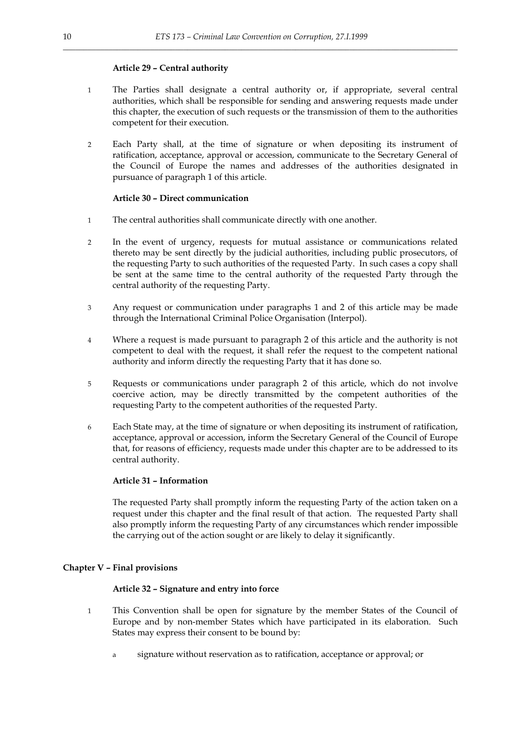# **Article 29 – Central authority**

- 1 The Parties shall designate a central authority or, if appropriate, several central authorities, which shall be responsible for sending and answering requests made under this chapter, the execution of such requests or the transmission of them to the authorities competent for their execution.
- 2 Each Party shall, at the time of signature or when depositing its instrument of ratification, acceptance, approval or accession, communicate to the Secretary General of the Council of Europe the names and addresses of the authorities designated in pursuance of paragraph 1 of this article.

# **Article 30 – Direct communication**

- 1 The central authorities shall communicate directly with one another.
- 2 In the event of urgency, requests for mutual assistance or communications related thereto may be sent directly by the judicial authorities, including public prosecutors, of the requesting Party to such authorities of the requested Party. In such cases a copy shall be sent at the same time to the central authority of the requested Party through the central authority of the requesting Party.
- 3 Any request or communication under paragraphs 1 and 2 of this article may be made through the International Criminal Police Organisation (Interpol).
- 4 Where a request is made pursuant to paragraph 2 of this article and the authority is not competent to deal with the request, it shall refer the request to the competent national authority and inform directly the requesting Party that it has done so.
- 5 Requests or communications under paragraph 2 of this article, which do not involve coercive action, may be directly transmitted by the competent authorities of the requesting Party to the competent authorities of the requested Party.
- 6 Each State may, at the time of signature or when depositing its instrument of ratification, acceptance, approval or accession, inform the Secretary General of the Council of Europe that, for reasons of efficiency, requests made under this chapter are to be addressed to its central authority.

# **Article 31 – Information**

 The requested Party shall promptly inform the requesting Party of the action taken on a request under this chapter and the final result of that action. The requested Party shall also promptly inform the requesting Party of any circumstances which render impossible the carrying out of the action sought or are likely to delay it significantly.

# **Chapter V – Final provisions**

# **Article 32 – Signature and entry into force**

- 1 This Convention shall be open for signature by the member States of the Council of Europe and by non-member States which have participated in its elaboration. Such States may express their consent to be bound by:
	- a signature without reservation as to ratification, acceptance or approval; or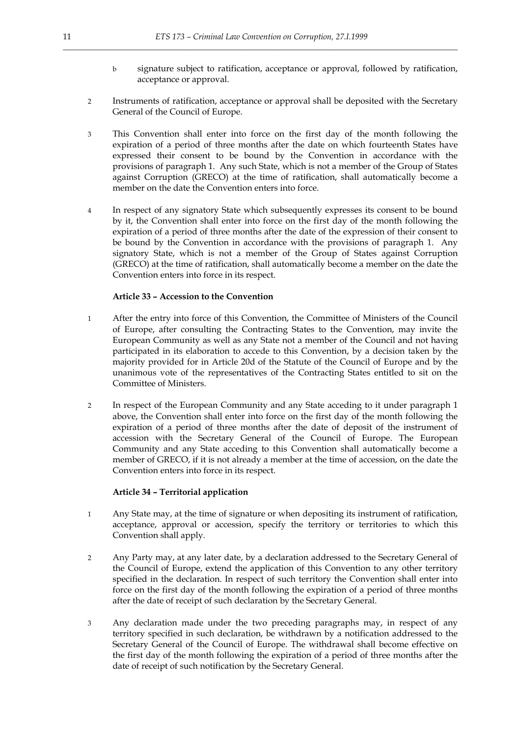- b signature subject to ratification, acceptance or approval, followed by ratification, acceptance or approval.
- 2 Instruments of ratification, acceptance or approval shall be deposited with the Secretary General of the Council of Europe.
- 3 This Convention shall enter into force on the first day of the month following the expiration of a period of three months after the date on which fourteenth States have expressed their consent to be bound by the Convention in accordance with the provisions of paragraph 1. Any such State, which is not a member of the Group of States against Corruption (GRECO) at the time of ratification, shall automatically become a member on the date the Convention enters into force.
- 4 In respect of any signatory State which subsequently expresses its consent to be bound by it, the Convention shall enter into force on the first day of the month following the expiration of a period of three months after the date of the expression of their consent to be bound by the Convention in accordance with the provisions of paragraph 1. Any signatory State, which is not a member of the Group of States against Corruption (GRECO) at the time of ratification, shall automatically become a member on the date the Convention enters into force in its respect.

# **Article 33 – Accession to the Convention**

- 1 After the entry into force of this Convention, the Committee of Ministers of the Council of Europe, after consulting the Contracting States to the Convention, may invite the European Community as well as any State not a member of the Council and not having participated in its elaboration to accede to this Convention, by a decision taken by the majority provided for in Article 20d of the Statute of the Council of Europe and by the unanimous vote of the representatives of the Contracting States entitled to sit on the Committee of Ministers.
- 2 In respect of the European Community and any State acceding to it under paragraph 1 above, the Convention shall enter into force on the first day of the month following the expiration of a period of three months after the date of deposit of the instrument of accession with the Secretary General of the Council of Europe. The European Community and any State acceding to this Convention shall automatically become a member of GRECO, if it is not already a member at the time of accession, on the date the Convention enters into force in its respect.

# **Article 34 – Territorial application**

- 1 Any State may, at the time of signature or when depositing its instrument of ratification, acceptance, approval or accession, specify the territory or territories to which this Convention shall apply.
- 2 Any Party may, at any later date, by a declaration addressed to the Secretary General of the Council of Europe, extend the application of this Convention to any other territory specified in the declaration. In respect of such territory the Convention shall enter into force on the first day of the month following the expiration of a period of three months after the date of receipt of such declaration by the Secretary General.
- 3 Any declaration made under the two preceding paragraphs may, in respect of any territory specified in such declaration, be withdrawn by a notification addressed to the Secretary General of the Council of Europe. The withdrawal shall become effective on the first day of the month following the expiration of a period of three months after the date of receipt of such notification by the Secretary General.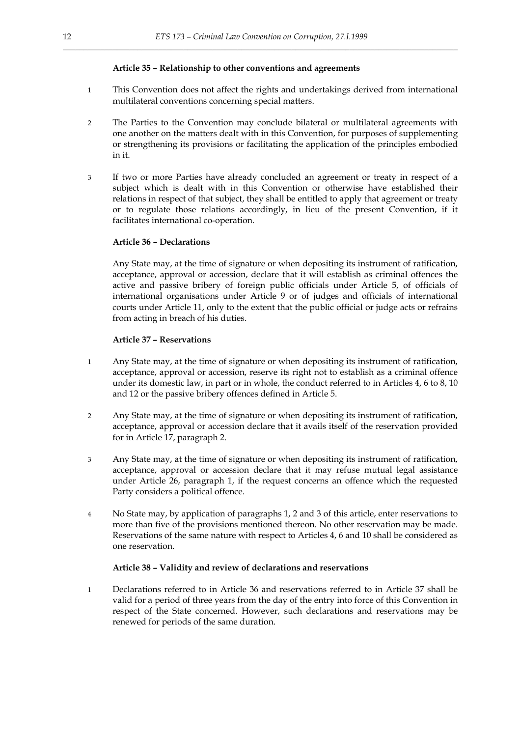# **Article 35 – Relationship to other conventions and agreements**

- 1 This Convention does not affect the rights and undertakings derived from international multilateral conventions concerning special matters.
- 2 The Parties to the Convention may conclude bilateral or multilateral agreements with one another on the matters dealt with in this Convention, for purposes of supplementing or strengthening its provisions or facilitating the application of the principles embodied in it.
- 3 If two or more Parties have already concluded an agreement or treaty in respect of a subject which is dealt with in this Convention or otherwise have established their relations in respect of that subject, they shall be entitled to apply that agreement or treaty or to regulate those relations accordingly, in lieu of the present Convention, if it facilitates international co-operation.

# **Article 36 – Declarations**

 Any State may, at the time of signature or when depositing its instrument of ratification, acceptance, approval or accession, declare that it will establish as criminal offences the active and passive bribery of foreign public officials under Article 5, of officials of international organisations under Article 9 or of judges and officials of international courts under Article 11, only to the extent that the public official or judge acts or refrains from acting in breach of his duties.

# **Article 37 – Reservations**

- 1 Any State may, at the time of signature or when depositing its instrument of ratification, acceptance, approval or accession, reserve its right not to establish as a criminal offence under its domestic law, in part or in whole, the conduct referred to in Articles 4, 6 to 8, 10 and 12 or the passive bribery offences defined in Article 5.
- 2 Any State may, at the time of signature or when depositing its instrument of ratification, acceptance, approval or accession declare that it avails itself of the reservation provided for in Article 17, paragraph 2.
- 3 Any State may, at the time of signature or when depositing its instrument of ratification, acceptance, approval or accession declare that it may refuse mutual legal assistance under Article 26, paragraph 1, if the request concerns an offence which the requested Party considers a political offence.
- 4 No State may, by application of paragraphs 1, 2 and 3 of this article, enter reservations to more than five of the provisions mentioned thereon. No other reservation may be made. Reservations of the same nature with respect to Articles 4, 6 and 10 shall be considered as one reservation.

# **Article 38 – Validity and review of declarations and reservations**

1 Declarations referred to in Article 36 and reservations referred to in Article 37 shall be valid for a period of three years from the day of the entry into force of this Convention in respect of the State concerned. However, such declarations and reservations may be renewed for periods of the same duration.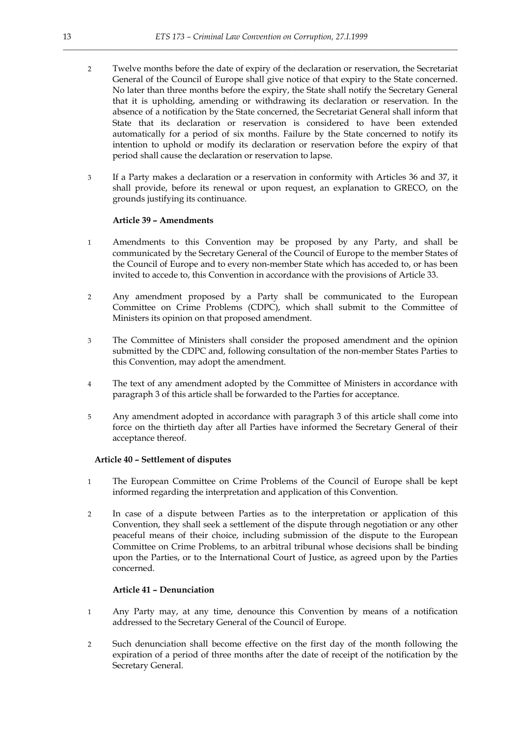- 2 Twelve months before the date of expiry of the declaration or reservation, the Secretariat General of the Council of Europe shall give notice of that expiry to the State concerned. No later than three months before the expiry, the State shall notify the Secretary General that it is upholding, amending or withdrawing its declaration or reservation. In the absence of a notification by the State concerned, the Secretariat General shall inform that State that its declaration or reservation is considered to have been extended automatically for a period of six months. Failure by the State concerned to notify its intention to uphold or modify its declaration or reservation before the expiry of that period shall cause the declaration or reservation to lapse.
- 3 If a Party makes a declaration or a reservation in conformity with Articles 36 and 37, it shall provide, before its renewal or upon request, an explanation to GRECO, on the grounds justifying its continuance.

# **Article 39 – Amendments**

- 1 Amendments to this Convention may be proposed by any Party, and shall be communicated by the Secretary General of the Council of Europe to the member States of the Council of Europe and to every non-member State which has acceded to, or has been invited to accede to, this Convention in accordance with the provisions of Article 33.
- 2 Any amendment proposed by a Party shall be communicated to the European Committee on Crime Problems (CDPC), which shall submit to the Committee of Ministers its opinion on that proposed amendment.
- 3 The Committee of Ministers shall consider the proposed amendment and the opinion submitted by the CDPC and, following consultation of the non-member States Parties to this Convention, may adopt the amendment.
- 4 The text of any amendment adopted by the Committee of Ministers in accordance with paragraph 3 of this article shall be forwarded to the Parties for acceptance.
- 5 Any amendment adopted in accordance with paragraph 3 of this article shall come into force on the thirtieth day after all Parties have informed the Secretary General of their acceptance thereof.

# **Article 40 – Settlement of disputes**

- 1 The European Committee on Crime Problems of the Council of Europe shall be kept informed regarding the interpretation and application of this Convention.
- 2 In case of a dispute between Parties as to the interpretation or application of this Convention, they shall seek a settlement of the dispute through negotiation or any other peaceful means of their choice, including submission of the dispute to the European Committee on Crime Problems, to an arbitral tribunal whose decisions shall be binding upon the Parties, or to the International Court of Justice, as agreed upon by the Parties concerned.

# **Article 41 – Denunciation**

- 1 Any Party may, at any time, denounce this Convention by means of a notification addressed to the Secretary General of the Council of Europe.
- 2 Such denunciation shall become effective on the first day of the month following the expiration of a period of three months after the date of receipt of the notification by the Secretary General.